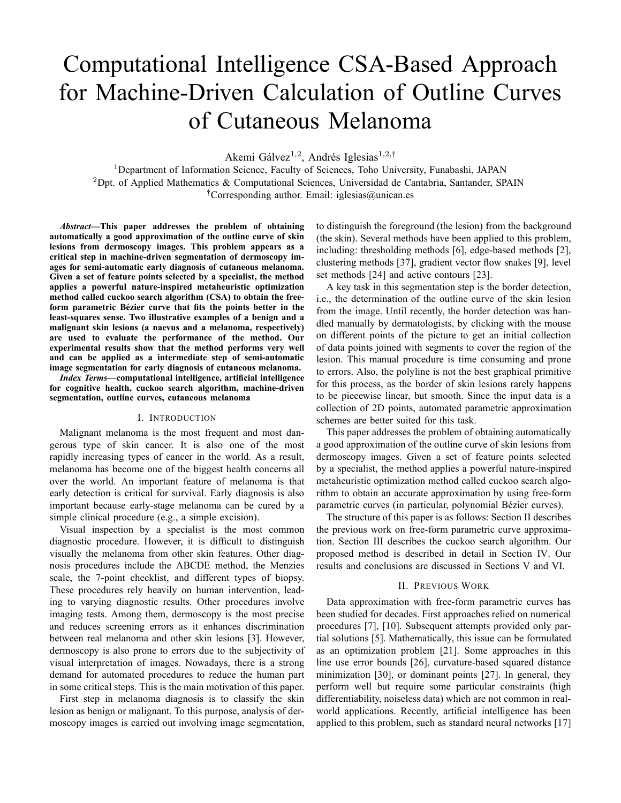# Computational Intelligence CSA-Based Approach for Machine-Driven Calculation of Outline Curves of Cutaneous Melanoma

Akemi Gálvez<sup>1,2</sup>, Andrés Iglesias<sup>1,2,†</sup>

<sup>1</sup>Department of Information Science, Faculty of Sciences, Toho University, Funabashi, JAPAN <sup>2</sup>Dpt. of Applied Mathematics & Computational Sciences, Universidad de Cantabria, Santander, SPAIN : Corresponding author. Email: iglesias@unican.es

*Abstract***—This paper addresses the problem of obtaining automatically a good approximation of the outline curve of skin lesions from dermoscopy images. This problem appears as a critical step in machine-driven segmentation of dermoscopy images for semi-automatic early diagnosis of cutaneous melanoma. Given a set of feature points selected by a specialist, the method applies a powerful nature-inspired metaheuristic optimization method called cuckoo search algorithm (CSA) to obtain the free**form parametric Bézier curve that fits the points better in the **least-squares sense. Two illustrative examples of a benign and a malignant skin lesions (a naevus and a melanoma, respectively) are used to evaluate the performance of the method. Our experimental results show that the method performs very well and can be applied as a intermediate step of semi-automatic image segmentation for early diagnosis of cutaneous melanoma.**

*Index Terms***—computational intelligence, artificial intelligence for cognitive health, cuckoo search algorithm, machine-driven segmentation, outline curves, cutaneous melanoma**

## I. INTRODUCTION

Malignant melanoma is the most frequent and most dangerous type of skin cancer. It is also one of the most rapidly increasing types of cancer in the world. As a result, melanoma has become one of the biggest health concerns all over the world. An important feature of melanoma is that early detection is critical for survival. Early diagnosis is also important because early-stage melanoma can be cured by a simple clinical procedure (e.g., a simple excision).

Visual inspection by a specialist is the most common diagnostic procedure. However, it is difficult to distinguish visually the melanoma from other skin features. Other diagnosis procedures include the ABCDE method, the Menzies scale, the 7-point checklist, and different types of biopsy. These procedures rely heavily on human intervention, leading to varying diagnostic results. Other procedures involve imaging tests. Among them, dermoscopy is the most precise and reduces screening errors as it enhances discrimination between real melanoma and other skin lesions [3]. However, dermoscopy is also prone to errors due to the subjectivity of visual interpretation of images. Nowadays, there is a strong demand for automated procedures to reduce the human part in some critical steps. This is the main motivation of this paper.

First step in melanoma diagnosis is to classify the skin lesion as benign or malignant. To this purpose, analysis of dermoscopy images is carried out involving image segmentation, to distinguish the foreground (the lesion) from the background (the skin). Several methods have been applied to this problem, including: thresholding methods [6], edge-based methods [2], clustering methods [37], gradient vector flow snakes [9], level set methods [24] and active contours [23].

A key task in this segmentation step is the border detection, i.e., the determination of the outline curve of the skin lesion from the image. Until recently, the border detection was handled manually by dermatologists, by clicking with the mouse on different points of the picture to get an initial collection of data points joined with segments to cover the region of the lesion. This manual procedure is time consuming and prone to errors. Also, the polyline is not the best graphical primitive for this process, as the border of skin lesions rarely happens to be piecewise linear, but smooth. Since the input data is a collection of 2D points, automated parametric approximation schemes are better suited for this task.

This paper addresses the problem of obtaining automatically a good approximation of the outline curve of skin lesions from dermoscopy images. Given a set of feature points selected by a specialist, the method applies a powerful nature-inspired metaheuristic optimization method called cuckoo search algorithm to obtain an accurate approximation by using free-form parametric curves (in particular, polynomial Bézier curves).

The structure of this paper is as follows: Section II describes the previous work on free-form parametric curve approximation. Section III describes the cuckoo search algorithm. Our proposed method is described in detail in Section IV. Our results and conclusions are discussed in Sections V and VI.

### II. PREVIOUS WORK

Data approximation with free-form parametric curves has been studied for decades. First approaches relied on numerical procedures [7], [10]. Subsequent attempts provided only partial solutions [5]. Mathematically, this issue can be formulated as an optimization problem [21]. Some approaches in this line use error bounds [26], curvature-based squared distance minimization [30], or dominant points [27]. In general, they perform well but require some particular constraints (high differentiability, noiseless data) which are not common in realworld applications. Recently, artificial intelligence has been applied to this problem, such as standard neural networks [17]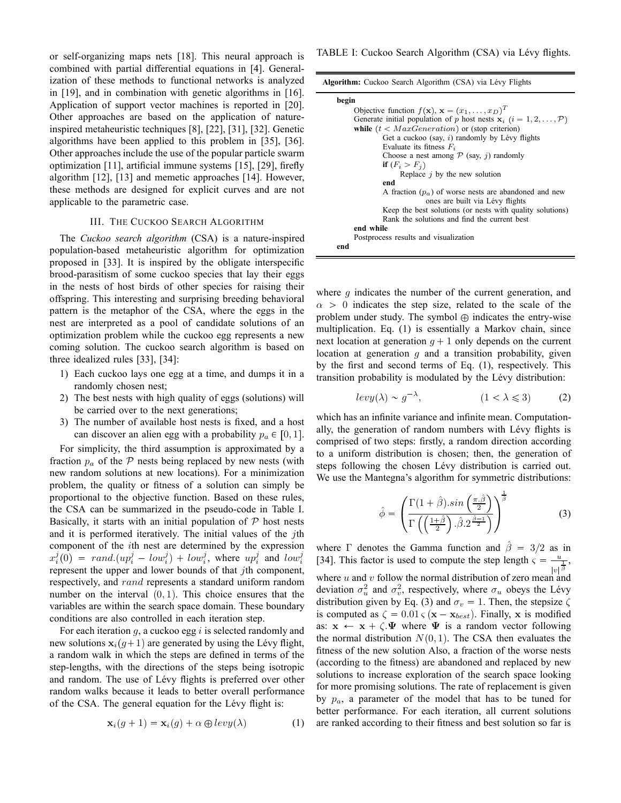or self-organizing maps nets [18]. This neural approach is combined with partial differential equations in [4]. Generalization of these methods to functional networks is analyzed in [19], and in combination with genetic algorithms in [16]. Application of support vector machines is reported in [20]. Other approaches are based on the application of natureinspired metaheuristic techniques [8], [22], [31], [32]. Genetic algorithms have been applied to this problem in [35], [36]. Other approaches include the use of the popular particle swarm optimization [11], artificial immune systems [15], [29], firefly algorithm [12], [13] and memetic approaches [14]. However, these methods are designed for explicit curves and are not applicable to the parametric case.

## III. THE CUCKOO SEARCH ALGORITHM

The *Cuckoo search algorithm* (CSA) is a nature-inspired population-based metaheuristic algorithm for optimization proposed in [33]. It is inspired by the obligate interspecific brood-parasitism of some cuckoo species that lay their eggs in the nests of host birds of other species for raising their offspring. This interesting and surprising breeding behavioral pattern is the metaphor of the CSA, where the eggs in the nest are interpreted as a pool of candidate solutions of an optimization problem while the cuckoo egg represents a new coming solution. The cuckoo search algorithm is based on three idealized rules [33], [34]:

- 1) Each cuckoo lays one egg at a time, and dumps it in a randomly chosen nest;
- 2) The best nests with high quality of eggs (solutions) will be carried over to the next generations;
- 3) The number of available host nests is fixed, and a host can discover an alien egg with a probability  $p_a \in [0, 1]$ .

For simplicity, the third assumption is approximated by a fraction  $p_a$  of the  $P$  nests being replaced by new nests (with new random solutions at new locations). For a minimization problem, the quality or fitness of a solution can simply be proportional to the objective function. Based on these rules, the CSA can be summarized in the pseudo-code in Table I. Basically, it starts with an initial population of  $P$  host nests and it is performed iteratively. The initial values of the  $j$ th component of the ith nest are determined by the expression  $x_i^j(0) = rand(up_i^j - low_i^j) + low_i^j$ , where  $up_i^j$  and  $low_i^j$ represent the upper and lower bounds of that *i*th component, respectively, and rand represents a standard uniform random number on the interval  $(0, 1)$ . This choice ensures that the variables are within the search space domain. These boundary conditions are also controlled in each iteration step.

For each iteration  $g$ , a cuckoo egg  $i$  is selected randomly and new solutions  $x_i(q+1)$  are generated by using the Lévy flight, a random walk in which the steps are defined in terms of the step-lengths, with the directions of the steps being isotropic and random. The use of Lévy flights is preferred over other random walks because it leads to better overall performance of the CSA. The general equation for the Lévy flight is:

$$
\mathbf{x}_{i}(g+1) = \mathbf{x}_{i}(g) + \alpha \oplus levy(\lambda)
$$
 (1)

|  | Algorithm: Cuckoo Search Algorithm (CSA) via Lévy Flights |  |  |  |  |  |  |  |
|--|-----------------------------------------------------------|--|--|--|--|--|--|--|
|--|-----------------------------------------------------------|--|--|--|--|--|--|--|

| begin                                                                                    |
|------------------------------------------------------------------------------------------|
| Objective function $f(\mathbf{x}), \mathbf{x} = (x_1, \dots, x_D)^T$                     |
| Generate initial population of p host nests $\mathbf{x}_i$ ( $i = 1, 2, , \mathcal{P}$ ) |
| while $(t < MaxGeneration)$ or (stop criterion)                                          |
| Get a cuckoo (say, $i$ ) randomly by Lévy flights                                        |
| Evaluate its fitness $F_i$                                                               |
| Choose a nest among $P$ (say, j) randomly                                                |
| if $(F_i > F_i)$                                                                         |
| Replace $j$ by the new solution                                                          |
| end                                                                                      |
| A fraction $(p_a)$ of worse nests are abandoned and new                                  |
| ones are built via Lévy flights                                                          |
| Keep the best solutions (or nests with quality solutions)                                |
| Rank the solutions and find the current best                                             |
| end while                                                                                |
| Postprocess results and visualization                                                    |
| end                                                                                      |

where  $q$  indicates the number of the current generation, and  $\alpha > 0$  indicates the step size, related to the scale of the problem under study. The symbol  $\oplus$  indicates the entry-wise multiplication. Eq. (1) is essentially a Markov chain, since next location at generation  $q + 1$  only depends on the current location at generation  $q$  and a transition probability, given by the first and second terms of Eq. (1), respectively. This transition probability is modulated by the Lévy distribution:

$$
levy(\lambda) \sim g^{-\lambda}, \qquad (1 < \lambda \leq 3) \qquad (2)
$$

which has an infinite variance and infinite mean. Computationally, the generation of random numbers with Lévy flights is comprised of two steps: firstly, a random direction according to a uniform distribution is chosen; then, the generation of steps following the chosen Lévy distribution is carried out. We use the Mantegna's algorithm for symmetric distributions:

$$
\hat{\phi} = \left( \frac{\Gamma(1+\hat{\beta}) \sin\left(\frac{\pi \cdot \hat{\beta}}{2}\right)}{\Gamma\left(\left(\frac{1+\hat{\beta}}{2}\right) \cdot \hat{\beta} \cdot 2^{\frac{\hat{\beta}-1}{2}}\right)} \right)^{\frac{1}{\hat{\beta}}} \tag{3}
$$

where  $\Gamma$  denotes the Gamma function and  $\hat{\beta} = 3/2$  as in [34]. This factor is used to compute the step length  $\varsigma = \frac{u}{u}$  $\frac{u}{|v|^{\frac{1}{\beta}}},$ where  $u$  and  $v$  follow the normal distribution of zero mean and deviation  $\sigma_u^2$  and  $\sigma_v^2$ , respectively, where  $\sigma_u$  obeys the Lévy distribution given by Eq. (3) and  $\sigma_v = 1$ . Then, the stepsize  $\zeta$ is computed as  $\zeta = 0.01 \zeta (\mathbf{x} - \mathbf{x}_{best})$ . Finally, x is modified as:  $x \leftarrow x + \zeta \Psi$  where  $\Psi$  is a random vector following the normal distribution  $N(0, 1)$ . The CSA then evaluates the fitness of the new solution Also, a fraction of the worse nests (according to the fitness) are abandoned and replaced by new solutions to increase exploration of the search space looking for more promising solutions. The rate of replacement is given by  $p_a$ , a parameter of the model that has to be tuned for better performance. For each iteration, all current solutions are ranked according to their fitness and best solution so far is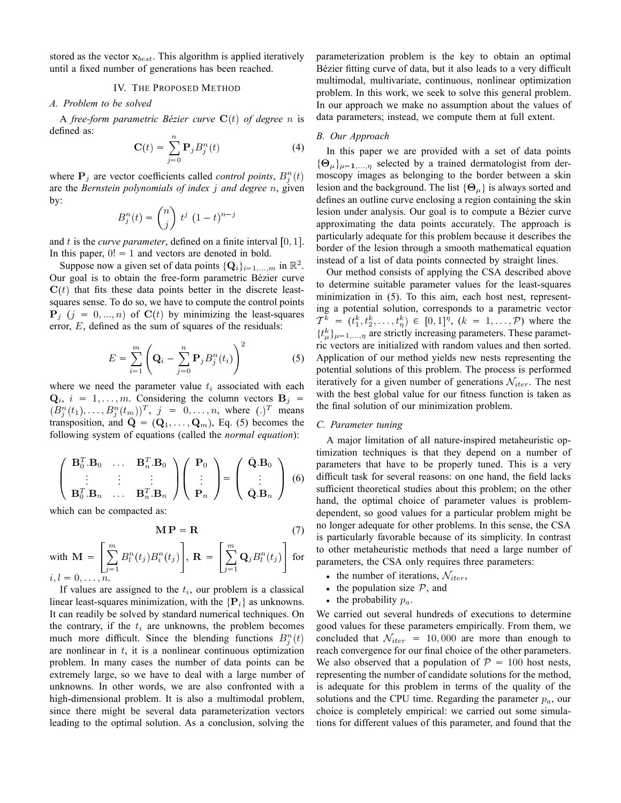stored as the vector  $x_{best}$ . This algorithm is applied iteratively until a fixed number of generations has been reached.

## IV. THE PROPOSED METHOD

#### *A. Problem to be solved*

A *free-form parametric Bézier curve*  $C(t)$  *of degree n* is defined as:

$$
\mathbf{C}(t) = \sum_{j=0}^{n} \mathbf{P}_{j} B_{j}^{n}(t)
$$
 (4)

where  $P_j$  are vector coefficients called *control points*,  $B_j^n(t)$ are the *Bernstein polynomials of index* j *and degree* n, given by: - $\sim$   $\sim$ 

$$
B_j^n(t) = \binom{n}{j} t^j (1-t)^{n-j}
$$

and t is the *curve parameter*, defined on a finite interval  $[0, 1]$ . In this paper,  $0! = 1$  and vectors are denoted in bold.

Suppose now a given set of data points  $\{Q_i\}_{i=1,\dots,m}$  in  $\mathbb{R}^2$ . Our goal is to obtain the free-form parametric Bézier curve  $C(t)$  that fits these data points better in the discrete leastsquares sense. To do so, we have to compute the control points  ${\bf P}_j$   $(j = 0, ..., n)$  of  ${\bf C}(t)$  by minimizing the least-squares error, E, defined as the sum of squares of the residuals:

$$
E = \sum_{i=1}^{m} \left( \mathbf{Q}_i - \sum_{j=0}^{n} \mathbf{P}_j B_j^n(t_i) \right)^2 \tag{5}
$$

where we need the parameter value  $t_i$  associated with each  $\mathbf{Q}_i$ ,  $i = 1, \dots, m$ . Considering the column vectors  $\mathbf{B}_j$  =  $(B_j^n(t_1), \ldots, B_j^n(t_m))^T$ ,  $j = 0, \ldots, n$ , where  $(.)^T$  means transposition, and  $\overline{Q} = (Q_1, \ldots, Q_m)$ , Eq. (5) becomes the following system of equations (called the *normal equation*):

$$
\begin{pmatrix}\n\mathbf{B}_0^T \cdot \mathbf{B}_0 & \dots & \mathbf{B}_n^T \cdot \mathbf{B}_0 \\
\vdots & \vdots & \vdots \\
\mathbf{B}_0^T \cdot \mathbf{B}_n & \dots & \mathbf{B}_n^T \cdot \mathbf{B}_n\n\end{pmatrix}\n\begin{pmatrix}\n\mathbf{P}_0 \\
\vdots \\
\mathbf{P}_n\n\end{pmatrix} = \begin{pmatrix}\n\bar{\mathbf{Q}} \cdot \mathbf{B}_0 \\
\vdots \\
\bar{\mathbf{Q}} \cdot \mathbf{B}_n\n\end{pmatrix}
$$
\n(6)

which can be compacted as:

$$
\mathbf{MP} = \mathbf{R} \tag{7}
$$

with 
$$
\mathbf{M} = \left[ \sum_{j=1}^{m} B_l^n(t_j) B_i^n(t_j) \right], \mathbf{R} = \left[ \sum_{j=1}^{m} \mathbf{Q}_j B_l^n(t_j) \right]
$$
 for   
 $i, l = 0, ..., n$ .

If values are assigned to the  $t_i$ , our problem is a classical linear least-squares minimization, with the  $\{P_i\}$  as unknowns. It can readily be solved by standard numerical techniques. On the contrary, if the  $t_i$  are unknowns, the problem becomes much more difficult. Since the blending functions  $B_j^n(t)$ are nonlinear in  $t$ , it is a nonlinear continuous optimization problem. In many cases the number of data points can be extremely large, so we have to deal with a large number of unknowns. In other words, we are also confronted with a high-dimensional problem. It is also a multimodal problem, since there might be several data parameterization vectors leading to the optimal solution. As a conclusion, solving the

parameterization problem is the key to obtain an optimal Bézier fitting curve of data, but it also leads to a very difficult multimodal, multivariate, continuous, nonlinear optimization problem. In this work, we seek to solve this general problem. In our approach we make no assumption about the values of data parameters; instead, we compute them at full extent.

#### *B. Our Approach*

In this paper we are provided with a set of data points  $\{\Theta_{\mu}\}_{\mu=1,...,n}$  selected by a trained dermatologist from dermoscopy images as belonging to the border between a skin lesion and the background. The list  $\{\Theta_{\mu}\}\$ is always sorted and defines an outline curve enclosing a region containing the skin lesion under analysis. Our goal is to compute a Bézier curve approximating the data points accurately. The approach is particularly adequate for this problem because it describes the border of the lesion through a smooth mathematical equation instead of a list of data points connected by straight lines.

Our method consists of applying the CSA described above to determine suitable parameter values for the least-squares minimization in (5). To this aim, each host nest, representing a potential solution, corresponds to a parametric vector  $T^k = (t_1^k, t_2^k, \ldots, t_\eta^k) \in [0, 1]^\eta$ ,  $(k = 1, \ldots, \mathcal{P})$  where the  $\{t^k_\mu\}_{\mu=1,\dots,\eta}$  are strictly increasing parameters. These parametric vectors are initialized with random values and then sorted. Application of our method yields new nests representing the potential solutions of this problem. The process is performed iteratively for a given number of generations  $\mathcal{N}_{iter}$ . The nest with the best global value for our fitness function is taken as the final solution of our minimization problem.

### *C. Parameter tuning*

A major limitation of all nature-inspired metaheuristic optimization techniques is that they depend on a number of parameters that have to be properly tuned. This is a very difficult task for several reasons: on one hand, the field lacks sufficient theoretical studies about this problem; on the other hand, the optimal choice of parameter values is problemdependent, so good values for a particular problem might be no longer adequate for other problems. In this sense, the CSA is particularly favorable because of its simplicity. In contrast to other metaheuristic methods that need a large number of parameters, the CSA only requires three parameters:

- the number of iterations,  $\mathcal{N}_{iter}$ ,
- the population size  $P$ , and
- the probability  $p_a$ .

We carried out several hundreds of executions to determine good values for these parameters empirically. From them, we concluded that  $\mathcal{N}_{iter} = 10,000$  are more than enough to reach convergence for our final choice of the other parameters. We also observed that a population of  $P = 100$  host nests, representing the number of candidate solutions for the method, is adequate for this problem in terms of the quality of the solutions and the CPU time. Regarding the parameter  $p_a$ , our choice is completely empirical: we carried out some simulations for different values of this parameter, and found that the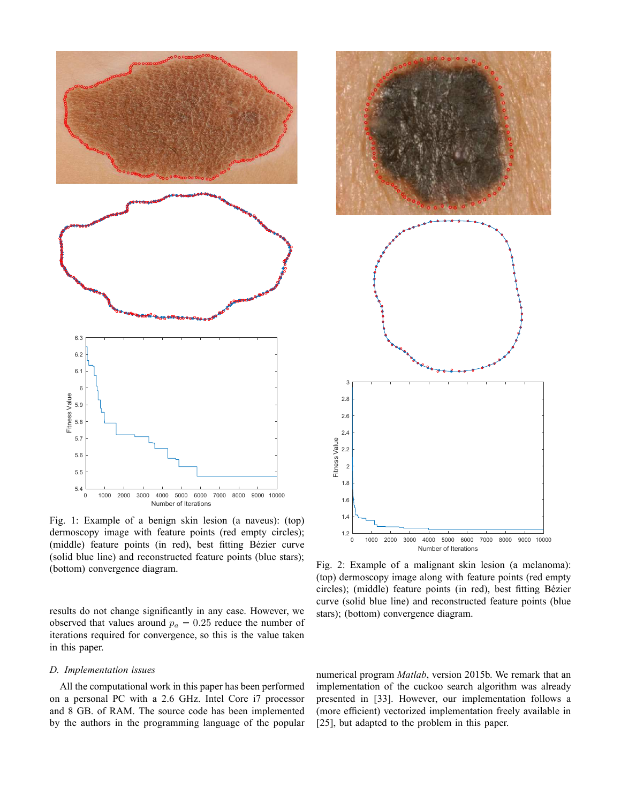

Fig. 1: Example of a benign skin lesion (a naveus): (top) dermoscopy image with feature points (red empty circles); (middle) feature points (in red), best fitting Bézier curve (solid blue line) and reconstructed feature points (blue stars); (bottom) convergence diagram.

results do not change significantly in any case. However, we observed that values around  $p_a = 0.25$  reduce the number of iterations required for convergence, so this is the value taken in this paper.

# *D. Implementation issues*

All the computational work in this paper has been performed on a personal PC with a 2.6 GHz. Intel Core i7 processor and 8 GB. of RAM. The source code has been implemented by the authors in the programming language of the popular



Fig. 2: Example of a malignant skin lesion (a melanoma): (top) dermoscopy image along with feature points (red empty circles); (middle) feature points (in red), best fitting Bézier curve (solid blue line) and reconstructed feature points (blue stars); (bottom) convergence diagram.

numerical program *Matlab*, version 2015b. We remark that an implementation of the cuckoo search algorithm was already presented in [33]. However, our implementation follows a (more efficient) vectorized implementation freely available in [25], but adapted to the problem in this paper.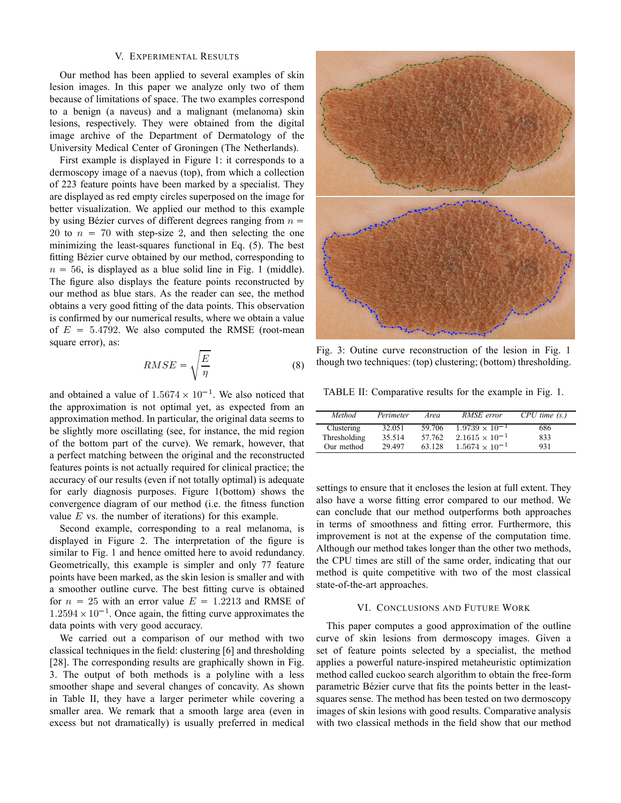## V. EXPERIMENTAL RESULTS

Our method has been applied to several examples of skin lesion images. In this paper we analyze only two of them because of limitations of space. The two examples correspond to a benign (a naveus) and a malignant (melanoma) skin lesions, respectively. They were obtained from the digital image archive of the Department of Dermatology of the University Medical Center of Groningen (The Netherlands).

First example is displayed in Figure 1: it corresponds to a dermoscopy image of a naevus (top), from which a collection of 223 feature points have been marked by a specialist. They are displayed as red empty circles superposed on the image for better visualization. We applied our method to this example by using Bézier curves of different degrees ranging from  $n =$ 20 to  $n = 70$  with step-size 2, and then selecting the one minimizing the least-squares functional in Eq. (5). The best fitting Bézier curve obtained by our method, corresponding to  $n = 56$ , is displayed as a blue solid line in Fig. 1 (middle). The figure also displays the feature points reconstructed by our method as blue stars. As the reader can see, the method obtains a very good fitting of the data points. This observation is confirmed by our numerical results, where we obtain a value of  $E = 5.4792$ . We also computed the RMSE (root-mean square error), as:

$$
RMSE = \sqrt{\frac{E}{\eta}}
$$
 (8)

and obtained a value of  $1.5674 \times 10^{-1}$ . We also noticed that the approximation is not optimal yet, as expected from an approximation method. In particular, the original data seems to be slightly more oscillating (see, for instance, the mid region of the bottom part of the curve). We remark, however, that a perfect matching between the original and the reconstructed features points is not actually required for clinical practice; the accuracy of our results (even if not totally optimal) is adequate for early diagnosis purposes. Figure 1(bottom) shows the convergence diagram of our method (i.e. the fitness function value  $E$  vs. the number of iterations) for this example.

Second example, corresponding to a real melanoma, is displayed in Figure 2. The interpretation of the figure is similar to Fig. 1 and hence omitted here to avoid redundancy. Geometrically, this example is simpler and only 77 feature points have been marked, as the skin lesion is smaller and with a smoother outline curve. The best fitting curve is obtained for  $n = 25$  with an error value  $E = 1.2213$  and RMSE of  $1.2594 \times 10^{-1}$ . Once again, the fitting curve approximates the data points with very good accuracy.

We carried out a comparison of our method with two classical techniques in the field: clustering [6] and thresholding [28]. The corresponding results are graphically shown in Fig. 3. The output of both methods is a polyline with a less smoother shape and several changes of concavity. As shown in Table II, they have a larger perimeter while covering a smaller area. We remark that a smooth large area (even in excess but not dramatically) is usually preferred in medical



Fig. 3: Outine curve reconstruction of the lesion in Fig. 1 though two techniques: (top) clustering; (bottom) thresholding.

TABLE II: Comparative results for the example in Fig. 1.

| Method       | Perimeter | Area   | RMSE error              | $CPU$ time $(s.)$ |
|--------------|-----------|--------|-------------------------|-------------------|
| Clustering   | 32.051    | 59.706 | $1.9739 \times 10^{-1}$ | 686               |
| Thresholding | 35.514    | 57.762 | $2.1615 \times 10^{-1}$ | 833               |
| Our method   | 29 497    | 63 128 | $1.5674 \times 10^{-1}$ | 931               |

settings to ensure that it encloses the lesion at full extent. They also have a worse fitting error compared to our method. We can conclude that our method outperforms both approaches in terms of smoothness and fitting error. Furthermore, this improvement is not at the expense of the computation time. Although our method takes longer than the other two methods, the CPU times are still of the same order, indicating that our method is quite competitive with two of the most classical state-of-the-art approaches.

# VI. CONCLUSIONS AND FUTURE WORK

This paper computes a good approximation of the outline curve of skin lesions from dermoscopy images. Given a set of feature points selected by a specialist, the method applies a powerful nature-inspired metaheuristic optimization method called cuckoo search algorithm to obtain the free-form parametric Bézier curve that fits the points better in the leastsquares sense. The method has been tested on two dermoscopy images of skin lesions with good results. Comparative analysis with two classical methods in the field show that our method